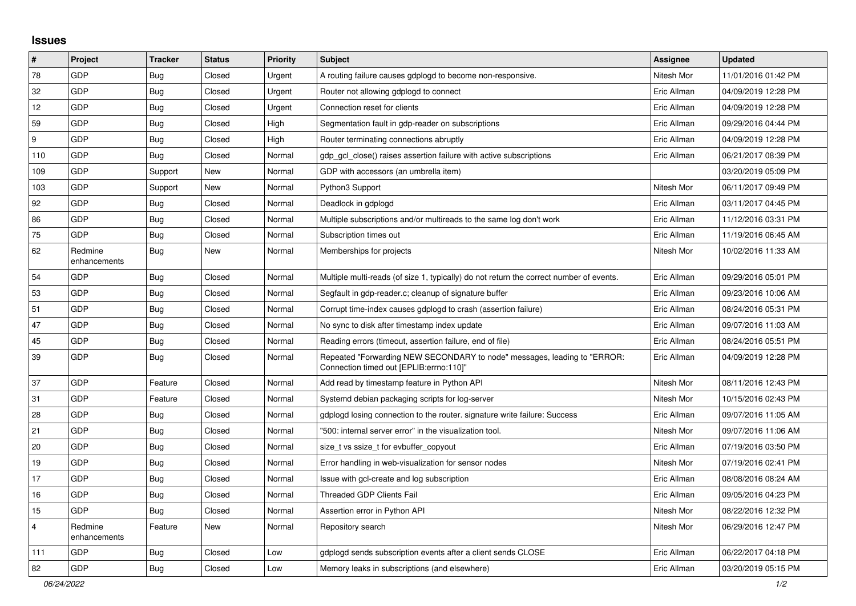## **Issues**

| $\pmb{\#}$              | Project                 | <b>Tracker</b> | <b>Status</b> | <b>Priority</b> | <b>Subject</b>                                                                                                      | <b>Assignee</b> | <b>Updated</b>      |
|-------------------------|-------------------------|----------------|---------------|-----------------|---------------------------------------------------------------------------------------------------------------------|-----------------|---------------------|
| 78                      | GDP                     | Bug            | Closed        | Urgent          | A routing failure causes gdplogd to become non-responsive.                                                          | Nitesh Mor      | 11/01/2016 01:42 PM |
| 32                      | GDP                     | Bug            | Closed        | Urgent          | Router not allowing gdplogd to connect                                                                              | Eric Allman     | 04/09/2019 12:28 PM |
| 12                      | GDP                     | Bug            | Closed        | Urgent          | Connection reset for clients                                                                                        | Eric Allman     | 04/09/2019 12:28 PM |
| 59                      | GDP                     | <b>Bug</b>     | Closed        | High            | Segmentation fault in gdp-reader on subscriptions                                                                   | Eric Allman     | 09/29/2016 04:44 PM |
| 9                       | GDP                     | Bug            | Closed        | High            | Router terminating connections abruptly                                                                             | Eric Allman     | 04/09/2019 12:28 PM |
| 110                     | GDP                     | <b>Bug</b>     | Closed        | Normal          | gdp gcl close() raises assertion failure with active subscriptions                                                  | Eric Allman     | 06/21/2017 08:39 PM |
| 109                     | GDP                     | Support        | <b>New</b>    | Normal          | GDP with accessors (an umbrella item)                                                                               |                 | 03/20/2019 05:09 PM |
| 103                     | GDP                     | Support        | New           | Normal          | Python3 Support                                                                                                     | Nitesh Mor      | 06/11/2017 09:49 PM |
| 92                      | GDP                     | Bug            | Closed        | Normal          | Deadlock in gdplogd                                                                                                 | Eric Allman     | 03/11/2017 04:45 PM |
| 86                      | GDP                     | Bug            | Closed        | Normal          | Multiple subscriptions and/or multireads to the same log don't work                                                 | Eric Allman     | 11/12/2016 03:31 PM |
| 75                      | GDP                     | Bug            | Closed        | Normal          | Subscription times out                                                                                              | Eric Allman     | 11/19/2016 06:45 AM |
| 62                      | Redmine<br>enhancements | <b>Bug</b>     | New           | Normal          | Memberships for projects                                                                                            | Nitesh Mor      | 10/02/2016 11:33 AM |
| 54                      | GDP                     | <b>Bug</b>     | Closed        | Normal          | Multiple multi-reads (of size 1, typically) do not return the correct number of events.                             | Eric Allman     | 09/29/2016 05:01 PM |
| 53                      | <b>GDP</b>              | Bug            | Closed        | Normal          | Segfault in gdp-reader.c; cleanup of signature buffer                                                               | Eric Allman     | 09/23/2016 10:06 AM |
| 51                      | GDP                     | <b>Bug</b>     | Closed        | Normal          | Corrupt time-index causes gdplogd to crash (assertion failure)                                                      | Eric Allman     | 08/24/2016 05:31 PM |
| 47                      | GDP                     | Bug            | Closed        | Normal          | No sync to disk after timestamp index update                                                                        | Eric Allman     | 09/07/2016 11:03 AM |
| 45                      | GDP                     | <b>Bug</b>     | Closed        | Normal          | Reading errors (timeout, assertion failure, end of file)                                                            | Eric Allman     | 08/24/2016 05:51 PM |
| 39                      | GDP                     | <b>Bug</b>     | Closed        | Normal          | Repeated "Forwarding NEW SECONDARY to node" messages, leading to "ERROR:<br>"Connection timed out [EPLIB:errno:110] | Eric Allman     | 04/09/2019 12:28 PM |
| 37                      | GDP                     | Feature        | Closed        | Normal          | Add read by timestamp feature in Python API                                                                         | Nitesh Mor      | 08/11/2016 12:43 PM |
| 31                      | GDP                     | Feature        | Closed        | Normal          | Systemd debian packaging scripts for log-server                                                                     | Nitesh Mor      | 10/15/2016 02:43 PM |
| 28                      | <b>GDP</b>              | Bug            | Closed        | Normal          | gdplogd losing connection to the router, signature write failure: Success                                           | Eric Allman     | 09/07/2016 11:05 AM |
| 21                      | GDP                     | Bug            | Closed        | Normal          | '500: internal server error" in the visualization tool.                                                             | Nitesh Mor      | 09/07/2016 11:06 AM |
| 20                      | <b>GDP</b>              | Bug            | Closed        | Normal          | size t vs ssize t for evbuffer copyout                                                                              | Eric Allman     | 07/19/2016 03:50 PM |
| 19                      | GDP                     | Bug            | Closed        | Normal          | Error handling in web-visualization for sensor nodes                                                                | Nitesh Mor      | 07/19/2016 02:41 PM |
| 17                      | GDP                     | <b>Bug</b>     | Closed        | Normal          | Issue with gcl-create and log subscription                                                                          | Eric Allman     | 08/08/2016 08:24 AM |
| 16                      | GDP                     | <b>Bug</b>     | Closed        | Normal          | Threaded GDP Clients Fail                                                                                           | Eric Allman     | 09/05/2016 04:23 PM |
| 15                      | GDP                     | Bug            | Closed        | Normal          | Assertion error in Python API                                                                                       | Nitesh Mor      | 08/22/2016 12:32 PM |
| $\overline{\mathbf{4}}$ | Redmine<br>enhancements | Feature        | New           | Normal          | Repository search                                                                                                   | Nitesh Mor      | 06/29/2016 12:47 PM |
| 111                     | GDP                     | <b>Bug</b>     | Closed        | Low             | adpload sends subscription events after a client sends CLOSE                                                        | Eric Allman     | 06/22/2017 04:18 PM |
| 82                      | GDP                     | Bug            | Closed        | Low             | Memory leaks in subscriptions (and elsewhere)                                                                       | Eric Allman     | 03/20/2019 05:15 PM |